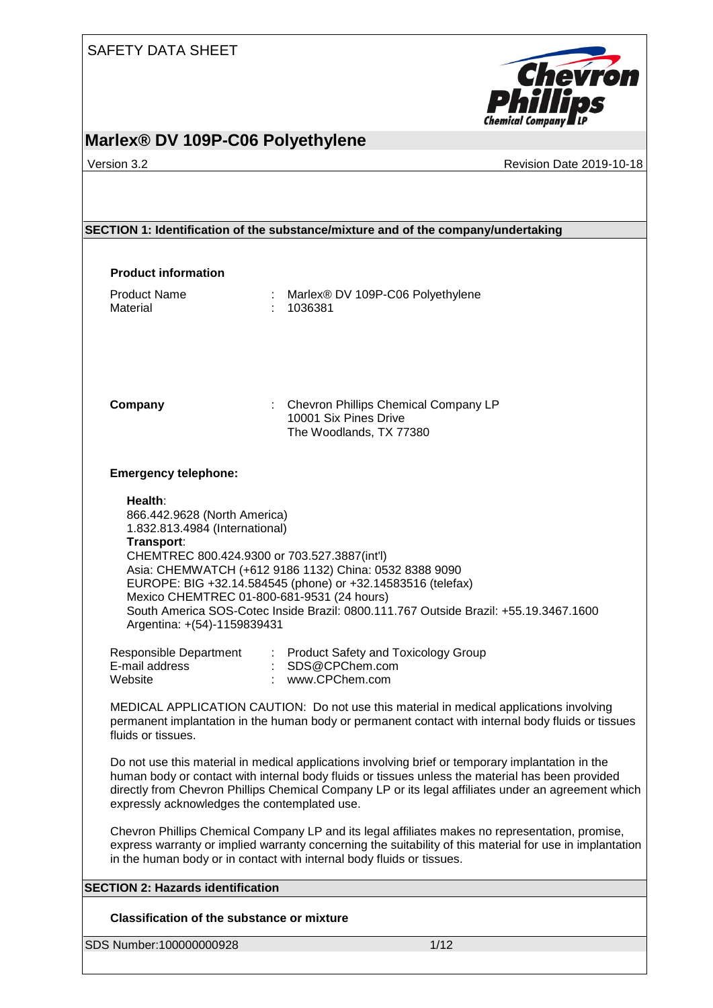

## **Marlex® DV 109P-C06 Polyethylene**

Version 3.2 **Version 3.2** Revision Date 2019-10-18

|                                                                                                                                                                                                                                                                                                                                                              | SECTION 1: Identification of the substance/mixture and of the company/undertaking                                                                                                                                                                                                                           |  |  |
|--------------------------------------------------------------------------------------------------------------------------------------------------------------------------------------------------------------------------------------------------------------------------------------------------------------------------------------------------------------|-------------------------------------------------------------------------------------------------------------------------------------------------------------------------------------------------------------------------------------------------------------------------------------------------------------|--|--|
|                                                                                                                                                                                                                                                                                                                                                              |                                                                                                                                                                                                                                                                                                             |  |  |
| <b>Product information</b>                                                                                                                                                                                                                                                                                                                                   |                                                                                                                                                                                                                                                                                                             |  |  |
| <b>Product Name</b><br>Material                                                                                                                                                                                                                                                                                                                              | : Marlex® DV 109P-C06 Polyethylene<br>1036381                                                                                                                                                                                                                                                               |  |  |
| Company                                                                                                                                                                                                                                                                                                                                                      | : Chevron Phillips Chemical Company LP<br>10001 Six Pines Drive<br>The Woodlands, TX 77380                                                                                                                                                                                                                  |  |  |
| <b>Emergency telephone:</b>                                                                                                                                                                                                                                                                                                                                  |                                                                                                                                                                                                                                                                                                             |  |  |
| Health:<br>866.442.9628 (North America)<br>1.832.813.4984 (International)<br>Transport:<br>Argentina: +(54)-1159839431                                                                                                                                                                                                                                       | CHEMTREC 800.424.9300 or 703.527.3887(int'l)<br>Asia: CHEMWATCH (+612 9186 1132) China: 0532 8388 9090<br>EUROPE: BIG +32.14.584545 (phone) or +32.14583516 (telefax)<br>Mexico CHEMTREC 01-800-681-9531 (24 hours)<br>South America SOS-Cotec Inside Brazil: 0800.111.767 Outside Brazil: +55.19.3467.1600 |  |  |
| <b>Responsible Department</b><br>E-mail address<br>Website                                                                                                                                                                                                                                                                                                   | : Product Safety and Toxicology Group<br>: SDS@CPChem.com<br>: www.CPChem.com                                                                                                                                                                                                                               |  |  |
| fluids or tissues.                                                                                                                                                                                                                                                                                                                                           | MEDICAL APPLICATION CAUTION: Do not use this material in medical applications involving<br>permanent implantation in the human body or permanent contact with internal body fluids or tissues                                                                                                               |  |  |
| Do not use this material in medical applications involving brief or temporary implantation in the<br>human body or contact with internal body fluids or tissues unless the material has been provided<br>directly from Chevron Phillips Chemical Company LP or its legal affiliates under an agreement which<br>expressly acknowledges the contemplated use. |                                                                                                                                                                                                                                                                                                             |  |  |
|                                                                                                                                                                                                                                                                                                                                                              | Chevron Phillips Chemical Company LP and its legal affiliates makes no representation, promise,<br>express warranty or implied warranty concerning the suitability of this material for use in implantation<br>in the human body or in contact with internal body fluids or tissues.                        |  |  |
| <b>SECTION 2: Hazards identification</b>                                                                                                                                                                                                                                                                                                                     |                                                                                                                                                                                                                                                                                                             |  |  |
| <b>Classification of the substance or mixture</b>                                                                                                                                                                                                                                                                                                            |                                                                                                                                                                                                                                                                                                             |  |  |
| SDS Number:100000000928                                                                                                                                                                                                                                                                                                                                      | 1/12                                                                                                                                                                                                                                                                                                        |  |  |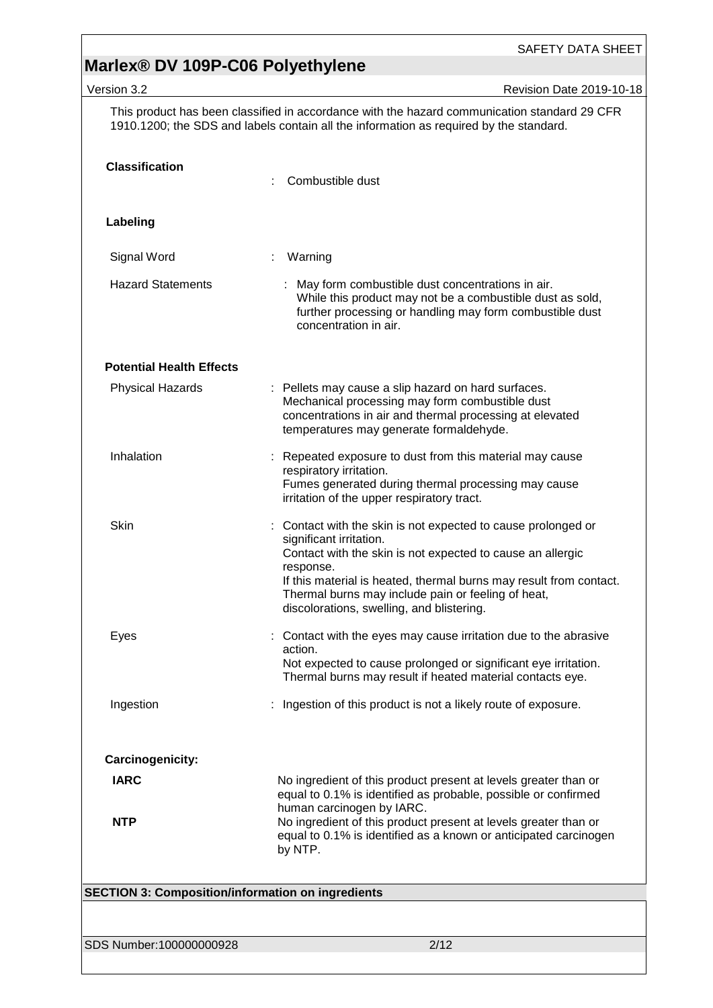# **Marlex® DV 109P-C06 Polyethylene**

| Version 3.2                                              | Revision Date 2019-10-18                                                                                                                                                                                                                                                                                                                   |
|----------------------------------------------------------|--------------------------------------------------------------------------------------------------------------------------------------------------------------------------------------------------------------------------------------------------------------------------------------------------------------------------------------------|
|                                                          | This product has been classified in accordance with the hazard communication standard 29 CFR<br>1910.1200; the SDS and labels contain all the information as required by the standard.                                                                                                                                                     |
| <b>Classification</b>                                    | Combustible dust                                                                                                                                                                                                                                                                                                                           |
| Labeling                                                 |                                                                                                                                                                                                                                                                                                                                            |
| Signal Word                                              | Warning                                                                                                                                                                                                                                                                                                                                    |
| <b>Hazard Statements</b>                                 | : May form combustible dust concentrations in air.<br>While this product may not be a combustible dust as sold,<br>further processing or handling may form combustible dust<br>concentration in air.                                                                                                                                       |
| <b>Potential Health Effects</b>                          |                                                                                                                                                                                                                                                                                                                                            |
| <b>Physical Hazards</b>                                  | : Pellets may cause a slip hazard on hard surfaces.<br>Mechanical processing may form combustible dust<br>concentrations in air and thermal processing at elevated<br>temperatures may generate formaldehyde.                                                                                                                              |
| Inhalation                                               | : Repeated exposure to dust from this material may cause<br>respiratory irritation.<br>Fumes generated during thermal processing may cause<br>irritation of the upper respiratory tract.                                                                                                                                                   |
| Skin                                                     | Contact with the skin is not expected to cause prolonged or<br>significant irritation.<br>Contact with the skin is not expected to cause an allergic<br>response.<br>If this material is heated, thermal burns may result from contact.<br>Thermal burns may include pain or feeling of heat,<br>discolorations, swelling, and blistering. |
| Eyes                                                     | : Contact with the eyes may cause irritation due to the abrasive<br>action.<br>Not expected to cause prolonged or significant eye irritation.<br>Thermal burns may result if heated material contacts eye.                                                                                                                                 |
| Ingestion                                                | Ingestion of this product is not a likely route of exposure.                                                                                                                                                                                                                                                                               |
|                                                          |                                                                                                                                                                                                                                                                                                                                            |
| Carcinogenicity:<br><b>IARC</b>                          | No ingredient of this product present at levels greater than or<br>equal to 0.1% is identified as probable, possible or confirmed                                                                                                                                                                                                          |
| <b>NTP</b>                                               | human carcinogen by IARC.<br>No ingredient of this product present at levels greater than or<br>equal to 0.1% is identified as a known or anticipated carcinogen<br>by NTP.                                                                                                                                                                |
| <b>SECTION 3: Composition/information on ingredients</b> |                                                                                                                                                                                                                                                                                                                                            |
|                                                          |                                                                                                                                                                                                                                                                                                                                            |
| SDS Number:100000000928                                  | 2/12                                                                                                                                                                                                                                                                                                                                       |
|                                                          |                                                                                                                                                                                                                                                                                                                                            |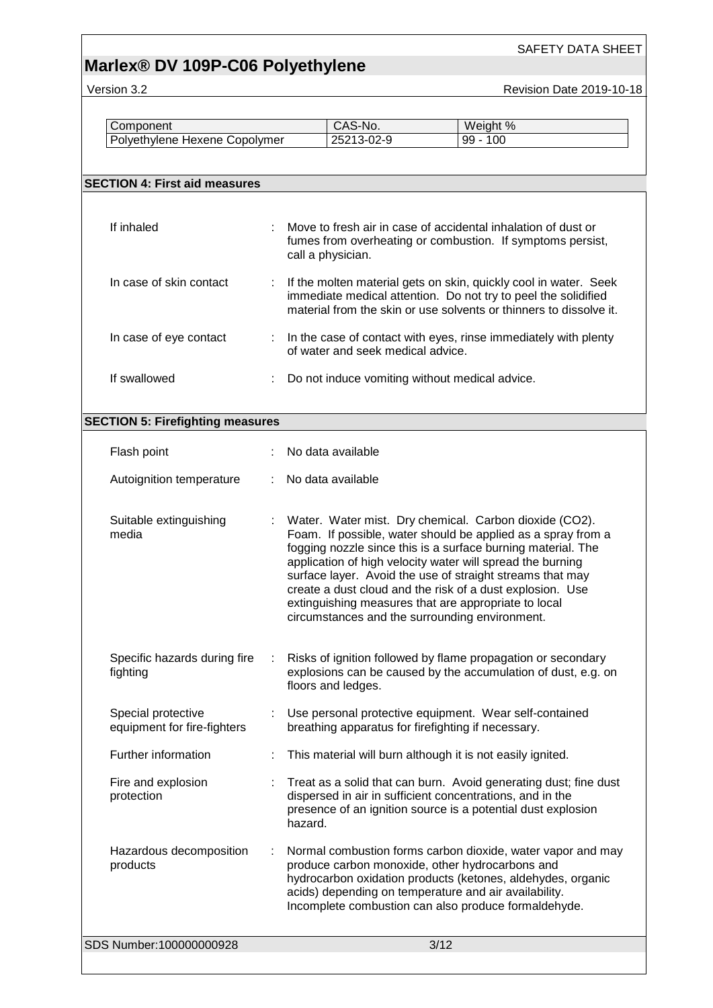# **Marlex® DV 109P-C06 Polyethylene**

Version 3.2 **Version 3.2** Revision Date 2019-10-18

| Component                     | CAS-No.    | Weight %    |
|-------------------------------|------------|-------------|
| Polyethylene Hexene Copolymer | 25213-02-9 | 100<br>99 - |

| <b>SECTION 4: First aid measures</b>              |                                                                                                                                                                                                                                                                                                                                                                                                                                                                                          |
|---------------------------------------------------|------------------------------------------------------------------------------------------------------------------------------------------------------------------------------------------------------------------------------------------------------------------------------------------------------------------------------------------------------------------------------------------------------------------------------------------------------------------------------------------|
|                                                   |                                                                                                                                                                                                                                                                                                                                                                                                                                                                                          |
| If inhaled                                        | Move to fresh air in case of accidental inhalation of dust or<br>fumes from overheating or combustion. If symptoms persist,<br>call a physician.                                                                                                                                                                                                                                                                                                                                         |
| In case of skin contact                           | If the molten material gets on skin, quickly cool in water. Seek<br>immediate medical attention. Do not try to peel the solidified<br>material from the skin or use solvents or thinners to dissolve it.                                                                                                                                                                                                                                                                                 |
| In case of eye contact                            | : In the case of contact with eyes, rinse immediately with plenty<br>of water and seek medical advice.                                                                                                                                                                                                                                                                                                                                                                                   |
| If swallowed                                      | Do not induce vomiting without medical advice.                                                                                                                                                                                                                                                                                                                                                                                                                                           |
| <b>SECTION 5: Firefighting measures</b>           |                                                                                                                                                                                                                                                                                                                                                                                                                                                                                          |
|                                                   |                                                                                                                                                                                                                                                                                                                                                                                                                                                                                          |
| Flash point                                       | No data available                                                                                                                                                                                                                                                                                                                                                                                                                                                                        |
| Autoignition temperature                          | No data available                                                                                                                                                                                                                                                                                                                                                                                                                                                                        |
|                                                   |                                                                                                                                                                                                                                                                                                                                                                                                                                                                                          |
| Suitable extinguishing<br>media                   | Water. Water mist. Dry chemical. Carbon dioxide (CO2).<br>Foam. If possible, water should be applied as a spray from a<br>fogging nozzle since this is a surface burning material. The<br>application of high velocity water will spread the burning<br>surface layer. Avoid the use of straight streams that may<br>create a dust cloud and the risk of a dust explosion. Use<br>extinguishing measures that are appropriate to local<br>circumstances and the surrounding environment. |
| Specific hazards during fire<br>fighting          | Risks of ignition followed by flame propagation or secondary<br>explosions can be caused by the accumulation of dust, e.g. on<br>floors and ledges.                                                                                                                                                                                                                                                                                                                                      |
| Special protective<br>equipment for fire-fighters | Use personal protective equipment. Wear self-contained<br>breathing apparatus for firefighting if necessary.                                                                                                                                                                                                                                                                                                                                                                             |
| Further information                               | This material will burn although it is not easily ignited.                                                                                                                                                                                                                                                                                                                                                                                                                               |
| Fire and explosion<br>protection                  | Treat as a solid that can burn. Avoid generating dust; fine dust<br>dispersed in air in sufficient concentrations, and in the<br>presence of an ignition source is a potential dust explosion<br>hazard.                                                                                                                                                                                                                                                                                 |
| Hazardous decomposition<br>products               | Normal combustion forms carbon dioxide, water vapor and may<br>produce carbon monoxide, other hydrocarbons and<br>hydrocarbon oxidation products (ketones, aldehydes, organic<br>acids) depending on temperature and air availability.<br>Incomplete combustion can also produce formaldehyde.                                                                                                                                                                                           |
| SDS Number:100000000928                           | 3/12                                                                                                                                                                                                                                                                                                                                                                                                                                                                                     |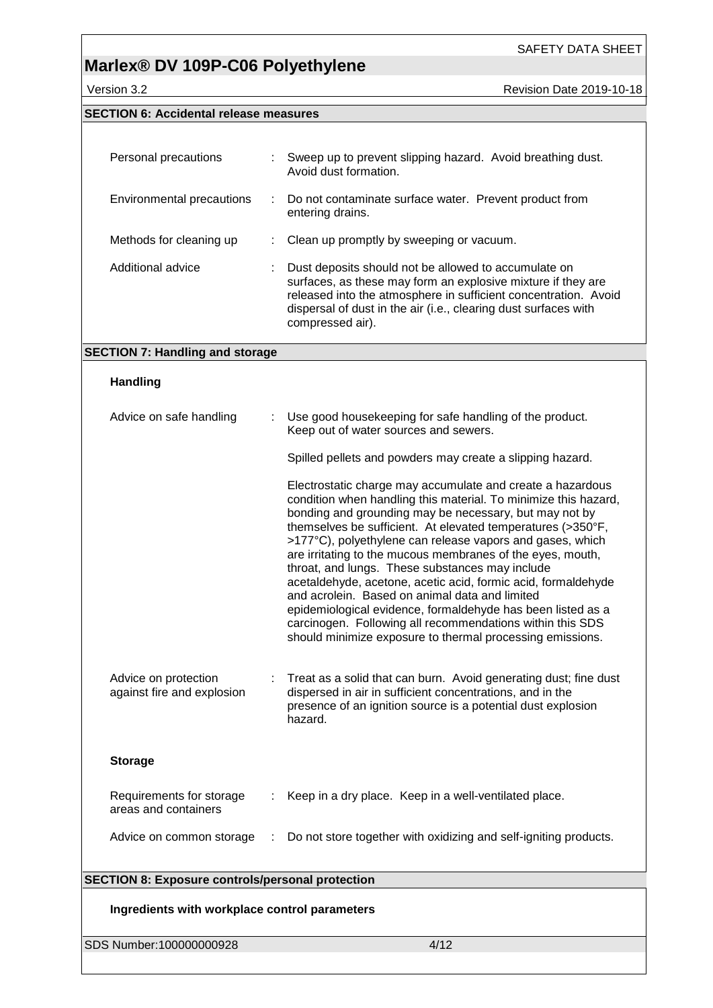## **Marlex® DV 109P-C06 Polyethylene**

Version 3.2 **Version 3.2** Revision Date 2019-10-18

### **SECTION 6: Accidental release measures**

| Personal precautions      | ÷. | Sweep up to prevent slipping hazard. Avoid breathing dust.<br>Avoid dust formation.                                                                                                                                                                                            |
|---------------------------|----|--------------------------------------------------------------------------------------------------------------------------------------------------------------------------------------------------------------------------------------------------------------------------------|
| Environmental precautions | ÷. | Do not contaminate surface water. Prevent product from<br>entering drains.                                                                                                                                                                                                     |
| Methods for cleaning up   |    | Clean up promptly by sweeping or vacuum.                                                                                                                                                                                                                                       |
| Additional advice         |    | Dust deposits should not be allowed to accumulate on<br>surfaces, as these may form an explosive mixture if they are<br>released into the atmosphere in sufficient concentration. Avoid<br>dispersal of dust in the air (i.e., clearing dust surfaces with<br>compressed air). |

### **SECTION 7: Handling and storage**

### **Handling**

| Advice on safe handling                                 |   | Use good housekeeping for safe handling of the product.<br>Keep out of water sources and sewers.                                                                                                                                                                                                                                                                                                                                                                                                                                                                                                                                                                                                                                                 |
|---------------------------------------------------------|---|--------------------------------------------------------------------------------------------------------------------------------------------------------------------------------------------------------------------------------------------------------------------------------------------------------------------------------------------------------------------------------------------------------------------------------------------------------------------------------------------------------------------------------------------------------------------------------------------------------------------------------------------------------------------------------------------------------------------------------------------------|
|                                                         |   | Spilled pellets and powders may create a slipping hazard.                                                                                                                                                                                                                                                                                                                                                                                                                                                                                                                                                                                                                                                                                        |
|                                                         |   | Electrostatic charge may accumulate and create a hazardous<br>condition when handling this material. To minimize this hazard,<br>bonding and grounding may be necessary, but may not by<br>themselves be sufficient. At elevated temperatures (>350°F,<br>>177°C), polyethylene can release vapors and gases, which<br>are irritating to the mucous membranes of the eyes, mouth,<br>throat, and lungs. These substances may include<br>acetaldehyde, acetone, acetic acid, formic acid, formaldehyde<br>and acrolein. Based on animal data and limited<br>epidemiological evidence, formaldehyde has been listed as a<br>carcinogen. Following all recommendations within this SDS<br>should minimize exposure to thermal processing emissions. |
| Advice on protection<br>against fire and explosion      |   | Treat as a solid that can burn. Avoid generating dust; fine dust<br>dispersed in air in sufficient concentrations, and in the<br>presence of an ignition source is a potential dust explosion<br>hazard.                                                                                                                                                                                                                                                                                                                                                                                                                                                                                                                                         |
| <b>Storage</b>                                          |   |                                                                                                                                                                                                                                                                                                                                                                                                                                                                                                                                                                                                                                                                                                                                                  |
| Requirements for storage<br>areas and containers        |   | Keep in a dry place. Keep in a well-ventilated place.                                                                                                                                                                                                                                                                                                                                                                                                                                                                                                                                                                                                                                                                                            |
| Advice on common storage                                | ÷ | Do not store together with oxidizing and self-igniting products.                                                                                                                                                                                                                                                                                                                                                                                                                                                                                                                                                                                                                                                                                 |
| <b>SECTION 8: Exposure controls/personal protection</b> |   |                                                                                                                                                                                                                                                                                                                                                                                                                                                                                                                                                                                                                                                                                                                                                  |
|                                                         |   |                                                                                                                                                                                                                                                                                                                                                                                                                                                                                                                                                                                                                                                                                                                                                  |

### **Ingredients with workplace control parameters**

SDS Number:100000000928 4/12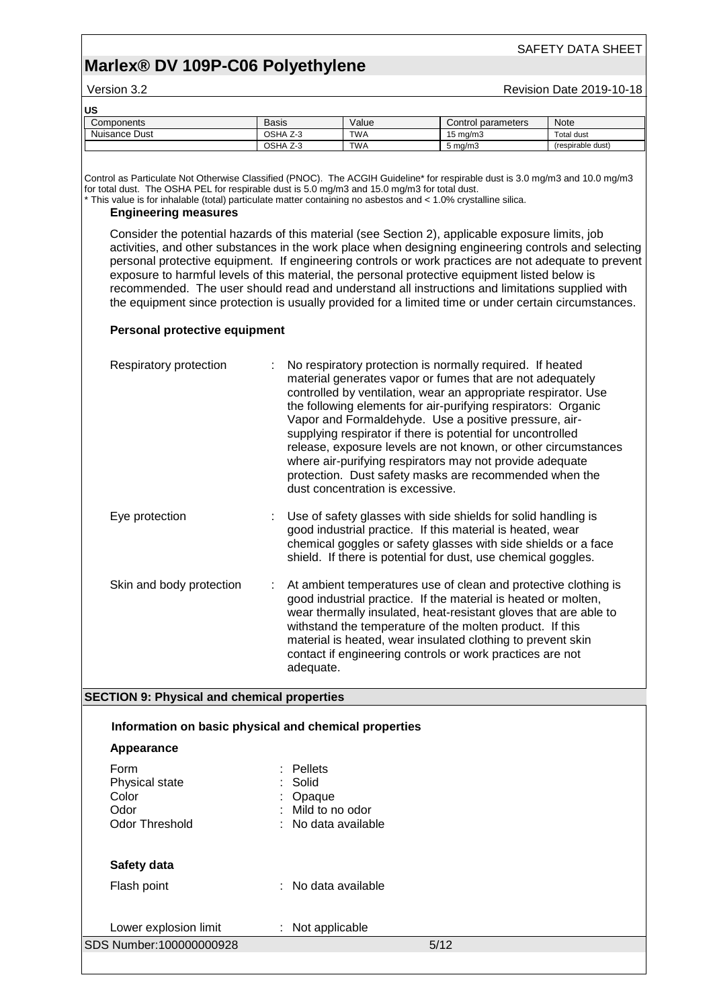## **Marlex® DV 109P-C06 Polyethylene**

#### Version 3.2 **All Accords** 2019-10-18 Revision Date 2019-10-18

| US            |              |            |                    |                   |
|---------------|--------------|------------|--------------------|-------------------|
| Components    | <b>Basis</b> | Value      | Control parameters | Note              |
| Nuisance Dust | OSHA Z-3     | <b>TWA</b> | 15 mg/m3           | Total dust        |
|               | OSHA Z-3     | <b>TWA</b> | $5 \text{ ma/m}$ 3 | (respirable dust) |

Control as Particulate Not Otherwise Classified (PNOC). The ACGIH Guideline\* for respirable dust is 3.0 mg/m3 and 10.0 mg/m3 for total dust. The OSHA PEL for respirable dust is 5.0 mg/m3 and 15.0 mg/m3 for total dust.

\* This value is for inhalable (total) particulate matter containing no asbestos and < 1.0% crystalline silica.

### **Engineering measures**

Consider the potential hazards of this material (see Section 2), applicable exposure limits, job activities, and other substances in the work place when designing engineering controls and selecting personal protective equipment. If engineering controls or work practices are not adequate to prevent exposure to harmful levels of this material, the personal protective equipment listed below is recommended. The user should read and understand all instructions and limitations supplied with the equipment since protection is usually provided for a limited time or under certain circumstances.

#### **Personal protective equipment**

| Respiratory protection   | No respiratory protection is normally required. If heated<br>material generates vapor or fumes that are not adequately<br>controlled by ventilation, wear an appropriate respirator. Use<br>the following elements for air-purifying respirators: Organic<br>Vapor and Formaldehyde. Use a positive pressure, air-<br>supplying respirator if there is potential for uncontrolled<br>release, exposure levels are not known, or other circumstances<br>where air-purifying respirators may not provide adequate<br>protection. Dust safety masks are recommended when the<br>dust concentration is excessive. |
|--------------------------|---------------------------------------------------------------------------------------------------------------------------------------------------------------------------------------------------------------------------------------------------------------------------------------------------------------------------------------------------------------------------------------------------------------------------------------------------------------------------------------------------------------------------------------------------------------------------------------------------------------|
| Eye protection           | Use of safety glasses with side shields for solid handling is<br>good industrial practice. If this material is heated, wear<br>chemical goggles or safety glasses with side shields or a face<br>shield. If there is potential for dust, use chemical goggles.                                                                                                                                                                                                                                                                                                                                                |
| Skin and body protection | At ambient temperatures use of clean and protective clothing is<br>good industrial practice. If the material is heated or molten,<br>wear thermally insulated, heat-resistant gloves that are able to<br>withstand the temperature of the molten product. If this<br>material is heated, wear insulated clothing to prevent skin<br>contact if engineering controls or work practices are not<br>adeguate.                                                                                                                                                                                                    |

### **SECTION 9: Physical and chemical properties**

|                                                                  | Information on basic physical and chemical properties                          |  |
|------------------------------------------------------------------|--------------------------------------------------------------------------------|--|
| Appearance                                                       |                                                                                |  |
| Form<br>Physical state<br>Color<br>Odor<br><b>Odor Threshold</b> | $:$ Pellets<br>: Solid<br>: Opaque<br>: Mild to no odor<br>: No data available |  |
| Safety data<br>.                                                 | .                                                                              |  |

Flash point : No data available

| Lower explosion limit   | $:$ Not applicable |      |
|-------------------------|--------------------|------|
| SDS Number:100000000928 |                    | 5/12 |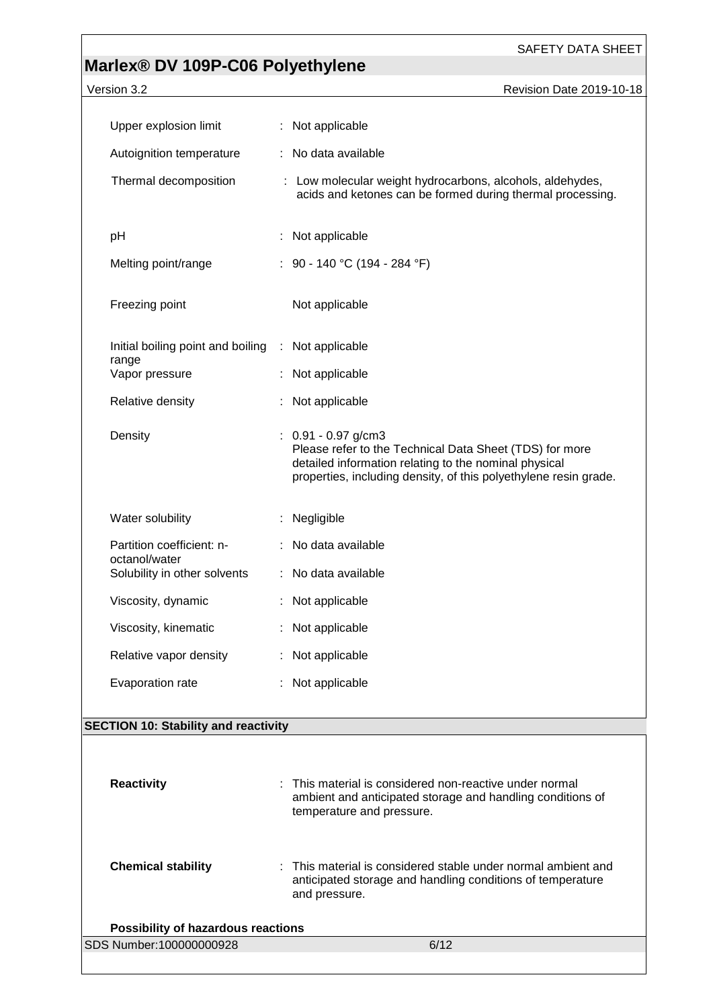# **Marlex® DV 109P-C06 Polyethylene**

| Version 3.2                                   | Revision Date 2019-10-18                                                                                                                                                                                      |
|-----------------------------------------------|---------------------------------------------------------------------------------------------------------------------------------------------------------------------------------------------------------------|
| Upper explosion limit                         | : Not applicable                                                                                                                                                                                              |
| Autoignition temperature                      | No data available                                                                                                                                                                                             |
| Thermal decomposition                         | : Low molecular weight hydrocarbons, alcohols, aldehydes,<br>acids and ketones can be formed during thermal processing.                                                                                       |
| рH                                            | Not applicable                                                                                                                                                                                                |
| Melting point/range                           | : 90 - 140 °C (194 - 284 °F)                                                                                                                                                                                  |
| Freezing point                                | Not applicable                                                                                                                                                                                                |
| Initial boiling point and boiling             | : Not applicable                                                                                                                                                                                              |
| range<br>Vapor pressure                       | : Not applicable                                                                                                                                                                                              |
| Relative density                              | Not applicable                                                                                                                                                                                                |
| Density                                       | $: 0.91 - 0.97$ g/cm3<br>Please refer to the Technical Data Sheet (TDS) for more<br>detailed information relating to the nominal physical<br>properties, including density, of this polyethylene resin grade. |
| Water solubility                              | Negligible                                                                                                                                                                                                    |
| Partition coefficient: n-                     | : No data available                                                                                                                                                                                           |
| octanol/water<br>Solubility in other solvents | : No data available                                                                                                                                                                                           |
| Viscosity, dynamic                            | : Not applicable                                                                                                                                                                                              |
| Viscosity, kinematic                          | Not applicable                                                                                                                                                                                                |
| Relative vapor density                        | Not applicable                                                                                                                                                                                                |
| Evaporation rate                              | Not applicable                                                                                                                                                                                                |
| <b>SECTION 10: Stability and reactivity</b>   |                                                                                                                                                                                                               |
|                                               |                                                                                                                                                                                                               |
| <b>Reactivity</b>                             | This material is considered non-reactive under normal<br>ambient and anticipated storage and handling conditions of<br>temperature and pressure.                                                              |
| <b>Chemical stability</b>                     | This material is considered stable under normal ambient and<br>anticipated storage and handling conditions of temperature<br>and pressure.                                                                    |

| Possibility of hazardous reactions |      |
|------------------------------------|------|
| SDS Number:100000000928            | 6/12 |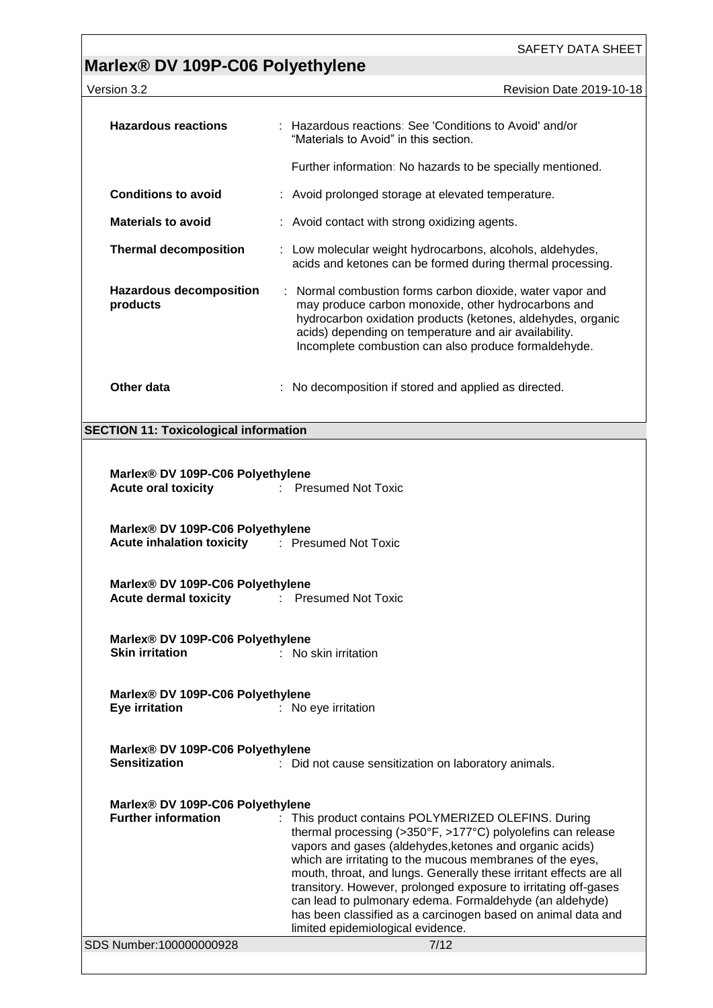# **Marlex® DV 109P-C06 Polyethylene**

| Version 3.2                                                                                                                                                                                 | Revision Date 2019-10-18                                                                                                                                                                                                                                                                                                                                                                                                                       |  |  |  |  |
|---------------------------------------------------------------------------------------------------------------------------------------------------------------------------------------------|------------------------------------------------------------------------------------------------------------------------------------------------------------------------------------------------------------------------------------------------------------------------------------------------------------------------------------------------------------------------------------------------------------------------------------------------|--|--|--|--|
| <b>Hazardous reactions</b>                                                                                                                                                                  | : Hazardous reactions: See 'Conditions to Avoid' and/or<br>"Materials to Avoid" in this section.                                                                                                                                                                                                                                                                                                                                               |  |  |  |  |
|                                                                                                                                                                                             | Further information: No hazards to be specially mentioned.                                                                                                                                                                                                                                                                                                                                                                                     |  |  |  |  |
| <b>Conditions to avoid</b>                                                                                                                                                                  | : Avoid prolonged storage at elevated temperature.                                                                                                                                                                                                                                                                                                                                                                                             |  |  |  |  |
| <b>Materials to avoid</b>                                                                                                                                                                   | : Avoid contact with strong oxidizing agents.                                                                                                                                                                                                                                                                                                                                                                                                  |  |  |  |  |
| <b>Thermal decomposition</b>                                                                                                                                                                | Low molecular weight hydrocarbons, alcohols, aldehydes,<br>÷.<br>acids and ketones can be formed during thermal processing.                                                                                                                                                                                                                                                                                                                    |  |  |  |  |
| <b>Hazardous decomposition</b><br>products                                                                                                                                                  | : Normal combustion forms carbon dioxide, water vapor and<br>may produce carbon monoxide, other hydrocarbons and<br>hydrocarbon oxidation products (ketones, aldehydes, organic<br>acids) depending on temperature and air availability.<br>Incomplete combustion can also produce formaldehyde.                                                                                                                                               |  |  |  |  |
| Other data                                                                                                                                                                                  | : No decomposition if stored and applied as directed.                                                                                                                                                                                                                                                                                                                                                                                          |  |  |  |  |
| <b>SECTION 11: Toxicological information</b>                                                                                                                                                |                                                                                                                                                                                                                                                                                                                                                                                                                                                |  |  |  |  |
| Marlex® DV 109P-C06 Polyethylene<br><b>Presumed Not Toxic</b><br><b>Acute oral toxicity</b><br>Marlex® DV 109P-C06 Polyethylene<br><b>Acute inhalation toxicity</b><br>: Presumed Not Toxic |                                                                                                                                                                                                                                                                                                                                                                                                                                                |  |  |  |  |
| Marlex® DV 109P-C06 Polyethylene<br><b>Acute dermal toxicity</b><br>$\mathcal{I}^{\mathcal{I}}$ .<br><b>Presumed Not Toxic</b>                                                              |                                                                                                                                                                                                                                                                                                                                                                                                                                                |  |  |  |  |
| Marlex® DV 109P-C06 Polyethylene<br><b>Skin irritation</b>                                                                                                                                  | : No skin irritation                                                                                                                                                                                                                                                                                                                                                                                                                           |  |  |  |  |
| Marlex® DV 109P-C06 Polyethylene<br><b>Eye irritation</b>                                                                                                                                   | : No eye irritation                                                                                                                                                                                                                                                                                                                                                                                                                            |  |  |  |  |
| Marlex® DV 109P-C06 Polyethylene<br><b>Sensitization</b>                                                                                                                                    | : Did not cause sensitization on laboratory animals.                                                                                                                                                                                                                                                                                                                                                                                           |  |  |  |  |
| Marlex® DV 109P-C06 Polyethylene<br><b>Further information</b>                                                                                                                              | : This product contains POLYMERIZED OLEFINS. During<br>thermal processing (>350°F, >177°C) polyolefins can release<br>vapors and gases (aldehydes, ketones and organic acids)<br>which are irritating to the mucous membranes of the eyes,<br>mouth, throat, and lungs. Generally these irritant effects are all<br>transitory. However, prolonged exposure to irritating off-gases<br>can lead to pulmonary edema. Formaldehyde (an aldehyde) |  |  |  |  |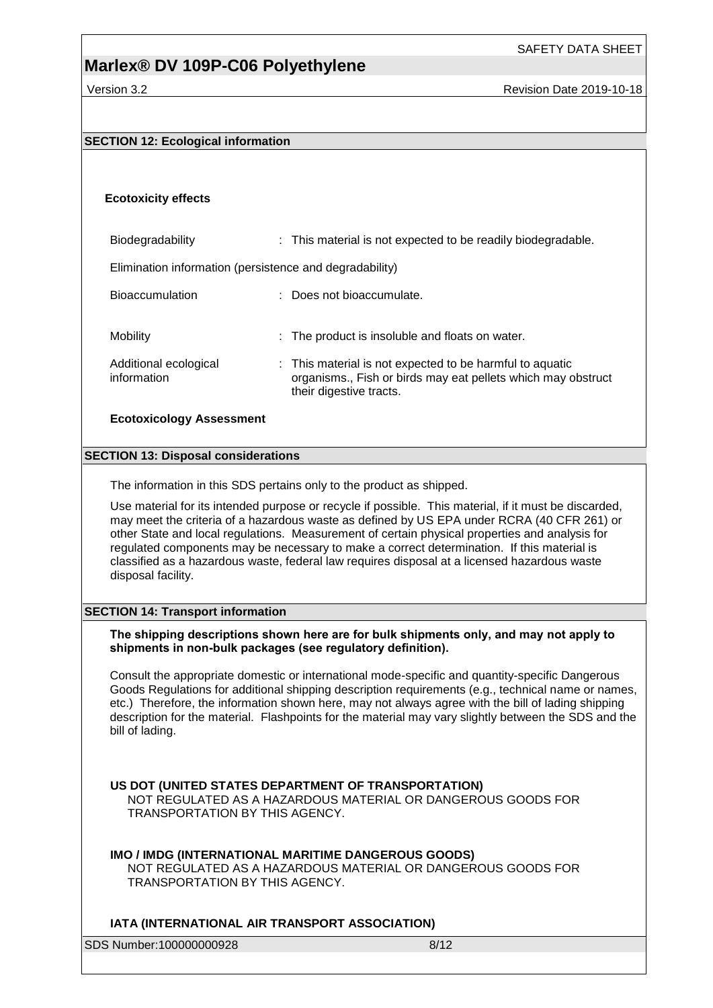## **Marlex® DV 109P-C06 Polyethylene**

### **SECTION 12: Ecological information**

### **Ecotoxicity effects**

Biodegradability : This material is not expected to be readily biodegradable. Elimination information (persistence and degradability) Bioaccumulation : Does not bioaccumulate. Mobility **EXECUTE:** The product is insoluble and floats on water. Additional ecological information : This material is not expected to be harmful to aquatic organisms., Fish or birds may eat pellets which may obstruct their digestive tracts.

### **Ecotoxicology Assessment**

### **SECTION 13: Disposal considerations**

The information in this SDS pertains only to the product as shipped.

Use material for its intended purpose or recycle if possible. This material, if it must be discarded, may meet the criteria of a hazardous waste as defined by US EPA under RCRA (40 CFR 261) or other State and local regulations. Measurement of certain physical properties and analysis for regulated components may be necessary to make a correct determination. If this material is classified as a hazardous waste, federal law requires disposal at a licensed hazardous waste disposal facility.

### **SECTION 14: Transport information**

### **The shipping descriptions shown here are for bulk shipments only, and may not apply to shipments in non-bulk packages (see regulatory definition).**

Consult the appropriate domestic or international mode-specific and quantity-specific Dangerous Goods Regulations for additional shipping description requirements (e.g., technical name or names, etc.) Therefore, the information shown here, may not always agree with the bill of lading shipping description for the material. Flashpoints for the material may vary slightly between the SDS and the bill of lading.

### **US DOT (UNITED STATES DEPARTMENT OF TRANSPORTATION)**

NOT REGULATED AS A HAZARDOUS MATERIAL OR DANGEROUS GOODS FOR TRANSPORTATION BY THIS AGENCY.

### **IMO / IMDG (INTERNATIONAL MARITIME DANGEROUS GOODS)**

NOT REGULATED AS A HAZARDOUS MATERIAL OR DANGEROUS GOODS FOR TRANSPORTATION BY THIS AGENCY.

### **IATA (INTERNATIONAL AIR TRANSPORT ASSOCIATION)**

SDS Number:100000000928 8/12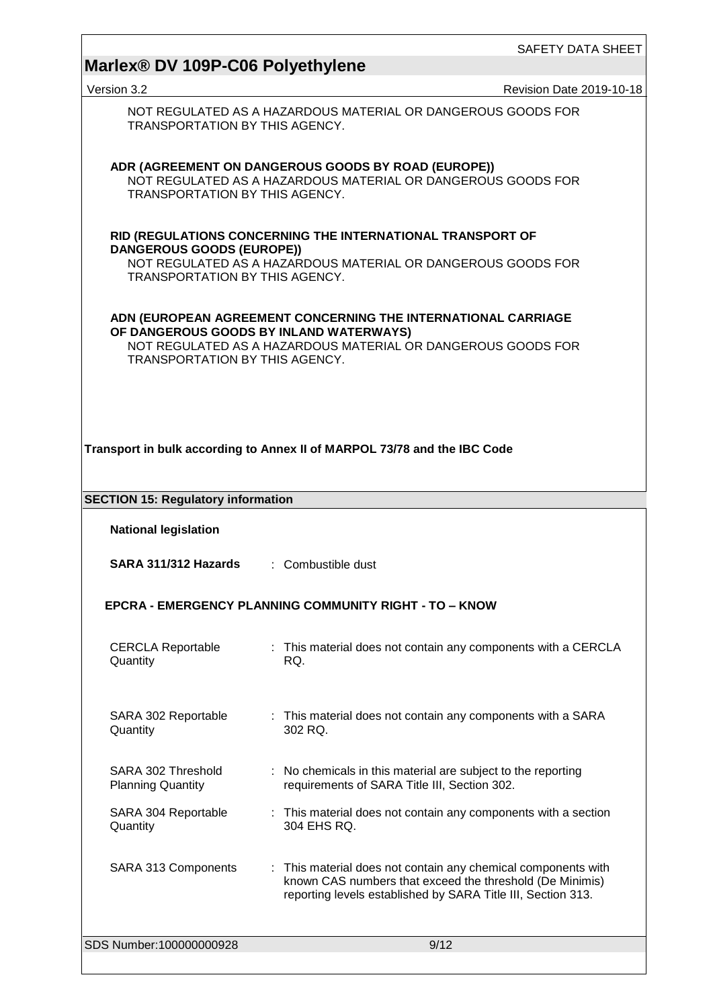| Marlex <sup>®</sup> DV 109P-C06 Polyethylene                                                                                                                                                               | SAFETY DATA SHEET                                                                                                                                                                         |  |  |  |  |  |
|------------------------------------------------------------------------------------------------------------------------------------------------------------------------------------------------------------|-------------------------------------------------------------------------------------------------------------------------------------------------------------------------------------------|--|--|--|--|--|
| Version 3.2                                                                                                                                                                                                | Revision Date 2019-10-18                                                                                                                                                                  |  |  |  |  |  |
| NOT REGULATED AS A HAZARDOUS MATERIAL OR DANGEROUS GOODS FOR<br>TRANSPORTATION BY THIS AGENCY.                                                                                                             |                                                                                                                                                                                           |  |  |  |  |  |
| ADR (AGREEMENT ON DANGEROUS GOODS BY ROAD (EUROPE))<br>NOT REGULATED AS A HAZARDOUS MATERIAL OR DANGEROUS GOODS FOR<br>TRANSPORTATION BY THIS AGENCY.                                                      |                                                                                                                                                                                           |  |  |  |  |  |
| RID (REGULATIONS CONCERNING THE INTERNATIONAL TRANSPORT OF<br><b>DANGEROUS GOODS (EUROPE))</b><br>NOT REGULATED AS A HAZARDOUS MATERIAL OR DANGEROUS GOODS FOR<br>TRANSPORTATION BY THIS AGENCY.           |                                                                                                                                                                                           |  |  |  |  |  |
| ADN (EUROPEAN AGREEMENT CONCERNING THE INTERNATIONAL CARRIAGE<br>OF DANGEROUS GOODS BY INLAND WATERWAYS)<br>NOT REGULATED AS A HAZARDOUS MATERIAL OR DANGEROUS GOODS FOR<br>TRANSPORTATION BY THIS AGENCY. |                                                                                                                                                                                           |  |  |  |  |  |
| Transport in bulk according to Annex II of MARPOL 73/78 and the IBC Code                                                                                                                                   |                                                                                                                                                                                           |  |  |  |  |  |
| <b>SECTION 15: Regulatory information</b><br><b>National legislation</b>                                                                                                                                   |                                                                                                                                                                                           |  |  |  |  |  |
| SARA 311/312 Hazards                                                                                                                                                                                       | : Combustible dust                                                                                                                                                                        |  |  |  |  |  |
| <b>EPCRA - EMERGENCY PLANNING COMMUNITY RIGHT - TO - KNOW</b>                                                                                                                                              |                                                                                                                                                                                           |  |  |  |  |  |
| <b>CERCLA Reportable</b><br>Quantity                                                                                                                                                                       | : This material does not contain any components with a CERCLA<br>RQ.                                                                                                                      |  |  |  |  |  |
| SARA 302 Reportable<br>Quantity                                                                                                                                                                            | : This material does not contain any components with a SARA<br>302 RQ.                                                                                                                    |  |  |  |  |  |
| SARA 302 Threshold<br><b>Planning Quantity</b>                                                                                                                                                             | : No chemicals in this material are subject to the reporting<br>requirements of SARA Title III, Section 302.                                                                              |  |  |  |  |  |
| SARA 304 Reportable<br>Quantity                                                                                                                                                                            | : This material does not contain any components with a section<br>304 EHS RQ.                                                                                                             |  |  |  |  |  |
| SARA 313 Components                                                                                                                                                                                        | : This material does not contain any chemical components with<br>known CAS numbers that exceed the threshold (De Minimis)<br>reporting levels established by SARA Title III, Section 313. |  |  |  |  |  |
| SDS Number:100000000928                                                                                                                                                                                    | 9/12                                                                                                                                                                                      |  |  |  |  |  |

<u> 1989 - Johann Stein, marwolaethau a bhann an t-Amhain Aonaich an t-Amhain Aonaich an t-Amhain Aonaich an t-A</u>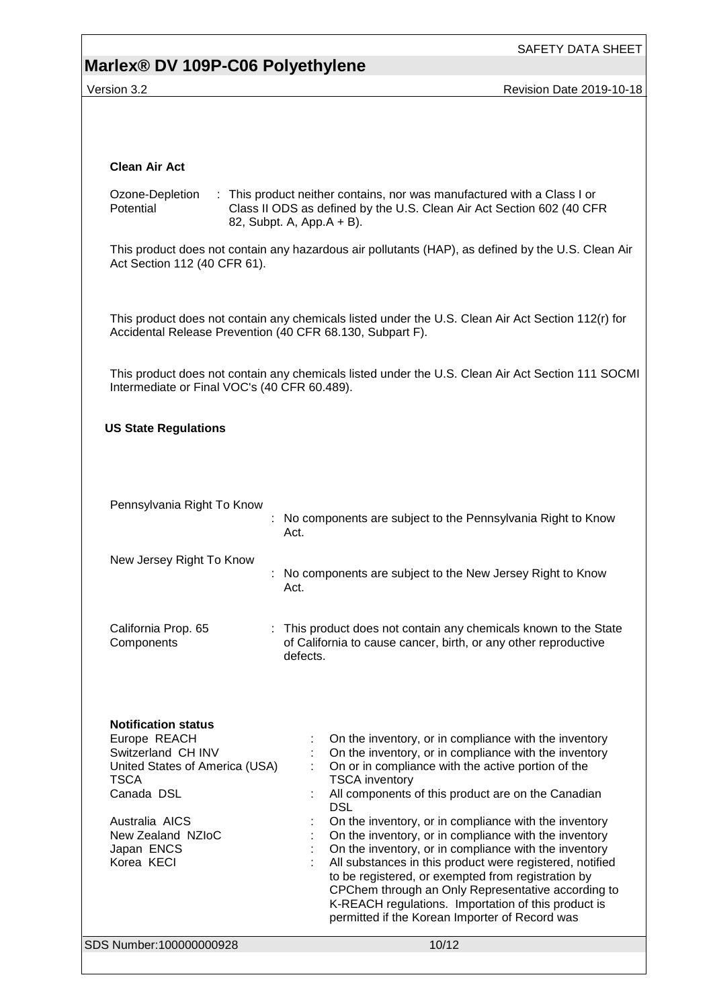## **Marlex® DV 109P-C06 Polyethylene**

SAFETY DATA SHEET

Version 3.2 **Version 3.2** Revision Date 2019-10-18

| <b>Clean Air Act</b>                                                                                                                                                                               |                                                                                                                                                                                                                                                                                                                                                                                                                                                                                                                                                                                                                                                                                                                               |  |  |  |  |
|----------------------------------------------------------------------------------------------------------------------------------------------------------------------------------------------------|-------------------------------------------------------------------------------------------------------------------------------------------------------------------------------------------------------------------------------------------------------------------------------------------------------------------------------------------------------------------------------------------------------------------------------------------------------------------------------------------------------------------------------------------------------------------------------------------------------------------------------------------------------------------------------------------------------------------------------|--|--|--|--|
| Ozone-Depletion<br>Potential                                                                                                                                                                       | : This product neither contains, nor was manufactured with a Class I or<br>Class II ODS as defined by the U.S. Clean Air Act Section 602 (40 CFR<br>82, Subpt. A, App.A + B).                                                                                                                                                                                                                                                                                                                                                                                                                                                                                                                                                 |  |  |  |  |
| Act Section 112 (40 CFR 61).                                                                                                                                                                       | This product does not contain any hazardous air pollutants (HAP), as defined by the U.S. Clean Air                                                                                                                                                                                                                                                                                                                                                                                                                                                                                                                                                                                                                            |  |  |  |  |
| Accidental Release Prevention (40 CFR 68.130, Subpart F).                                                                                                                                          | This product does not contain any chemicals listed under the U.S. Clean Air Act Section 112(r) for                                                                                                                                                                                                                                                                                                                                                                                                                                                                                                                                                                                                                            |  |  |  |  |
| Intermediate or Final VOC's (40 CFR 60.489).                                                                                                                                                       | This product does not contain any chemicals listed under the U.S. Clean Air Act Section 111 SOCMI                                                                                                                                                                                                                                                                                                                                                                                                                                                                                                                                                                                                                             |  |  |  |  |
| <b>US State Regulations</b>                                                                                                                                                                        |                                                                                                                                                                                                                                                                                                                                                                                                                                                                                                                                                                                                                                                                                                                               |  |  |  |  |
| Pennsylvania Right To Know                                                                                                                                                                         | No components are subject to the Pennsylvania Right to Know<br>Act.                                                                                                                                                                                                                                                                                                                                                                                                                                                                                                                                                                                                                                                           |  |  |  |  |
| New Jersey Right To Know                                                                                                                                                                           | : No components are subject to the New Jersey Right to Know<br>Act.                                                                                                                                                                                                                                                                                                                                                                                                                                                                                                                                                                                                                                                           |  |  |  |  |
| California Prop. 65<br>Components                                                                                                                                                                  | : This product does not contain any chemicals known to the State<br>of California to cause cancer, birth, or any other reproductive<br>defects.                                                                                                                                                                                                                                                                                                                                                                                                                                                                                                                                                                               |  |  |  |  |
| <b>Notification status</b><br>Europe REACH<br>Switzerland CH INV<br>United States of America (USA)<br><b>TSCA</b><br>Canada DSL<br>Australia AICS<br>New Zealand NZIoC<br>Japan ENCS<br>Korea KECI | On the inventory, or in compliance with the inventory<br>On the inventory, or in compliance with the inventory<br>On or in compliance with the active portion of the<br><b>TSCA</b> inventory<br>All components of this product are on the Canadian<br><b>DSL</b><br>On the inventory, or in compliance with the inventory<br>On the inventory, or in compliance with the inventory<br>On the inventory, or in compliance with the inventory<br>All substances in this product were registered, notified<br>to be registered, or exempted from registration by<br>CPChem through an Only Representative according to<br>K-REACH regulations. Importation of this product is<br>permitted if the Korean Importer of Record was |  |  |  |  |
| SDS Number:100000000928                                                                                                                                                                            | 10/12                                                                                                                                                                                                                                                                                                                                                                                                                                                                                                                                                                                                                                                                                                                         |  |  |  |  |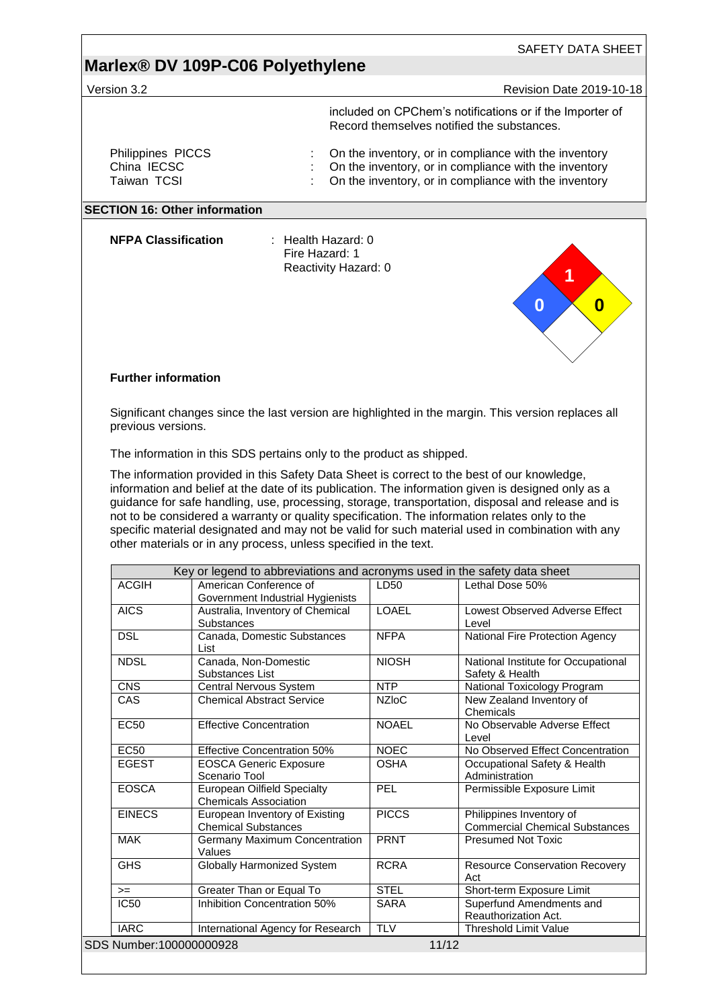|                                                 | Marlex® DV 109P-C06 Polyethylene                                                                                                                                                                                                                                      |                            |                                                                                                                                                                                                                     |
|-------------------------------------------------|-----------------------------------------------------------------------------------------------------------------------------------------------------------------------------------------------------------------------------------------------------------------------|----------------------------|---------------------------------------------------------------------------------------------------------------------------------------------------------------------------------------------------------------------|
| Version 3.2                                     |                                                                                                                                                                                                                                                                       |                            | <b>Revision Date 2019-10-18</b>                                                                                                                                                                                     |
|                                                 |                                                                                                                                                                                                                                                                       |                            | included on CPChem's notifications or if the Importer of<br>Record themselves notified the substances.                                                                                                              |
| Philippines PICCS<br>China IECSC<br>Taiwan TCSI |                                                                                                                                                                                                                                                                       |                            | On the inventory, or in compliance with the inventory<br>On the inventory, or in compliance with the inventory<br>On the inventory, or in compliance with the inventory                                             |
|                                                 | <b>SECTION 16: Other information</b>                                                                                                                                                                                                                                  |                            |                                                                                                                                                                                                                     |
| <b>NFPA Classification</b>                      | : Health Hazard: 0<br>Fire Hazard: 1<br>Reactivity Hazard: 0                                                                                                                                                                                                          |                            | 0<br>0                                                                                                                                                                                                              |
| <b>Further information</b>                      |                                                                                                                                                                                                                                                                       |                            |                                                                                                                                                                                                                     |
| previous versions.                              | Significant changes since the last version are highlighted in the margin. This version replaces all                                                                                                                                                                   |                            |                                                                                                                                                                                                                     |
|                                                 | The information in this SDS pertains only to the product as shipped.                                                                                                                                                                                                  |                            |                                                                                                                                                                                                                     |
|                                                 | guidance for safe handling, use, processing, storage, transportation, disposal and release and is                                                                                                                                                                     |                            | information and belief at the date of its publication. The information given is designed only as a                                                                                                                  |
|                                                 | not to be considered a warranty or quality specification. The information relates only to the<br>specific material designated and may not be valid for such material used in combination with any<br>other materials or in any process, unless specified in the text. |                            |                                                                                                                                                                                                                     |
| <b>ACGIH</b>                                    | Key or legend to abbreviations and acronyms used in the safety data sheet<br>American Conference of                                                                                                                                                                   | LD50                       | Lethal Dose 50%                                                                                                                                                                                                     |
| <b>AICS</b>                                     | Government Industrial Hygienists<br>Australia, Inventory of Chemical<br><b>Substances</b>                                                                                                                                                                             | <b>LOAEL</b>               | Level                                                                                                                                                                                                               |
| <b>DSL</b>                                      | Canada, Domestic Substances                                                                                                                                                                                                                                           | <b>NFPA</b>                | National Fire Protection Agency                                                                                                                                                                                     |
| <b>NDSL</b>                                     | List<br>Canada, Non-Domestic<br>Substances List                                                                                                                                                                                                                       | <b>NIOSH</b>               | Safety & Health                                                                                                                                                                                                     |
| <b>CNS</b>                                      | <b>Central Nervous System</b>                                                                                                                                                                                                                                         | <b>NTP</b>                 | National Toxicology Program                                                                                                                                                                                         |
| CAS                                             | <b>Chemical Abstract Service</b>                                                                                                                                                                                                                                      | <b>NZIoC</b>               | New Zealand Inventory of<br>Chemicals                                                                                                                                                                               |
| <b>EC50</b>                                     | <b>Effective Concentration</b>                                                                                                                                                                                                                                        | <b>NOAEL</b>               | No Observable Adverse Effect<br>Level                                                                                                                                                                               |
| <b>EC50</b>                                     | <b>Effective Concentration 50%</b>                                                                                                                                                                                                                                    | <b>NOEC</b>                |                                                                                                                                                                                                                     |
| <b>EGEST</b>                                    | <b>EOSCA Generic Exposure</b><br>Scenario Tool                                                                                                                                                                                                                        | <b>OSHA</b>                | Occupational Safety & Health<br>Administration                                                                                                                                                                      |
| <b>EOSCA</b>                                    | <b>European Oilfield Specialty</b><br><b>Chemicals Association</b>                                                                                                                                                                                                    | <b>PEL</b>                 | Permissible Exposure Limit                                                                                                                                                                                          |
| <b>EINECS</b>                                   | European Inventory of Existing                                                                                                                                                                                                                                        | <b>PICCS</b>               | Philippines Inventory of                                                                                                                                                                                            |
| <b>MAK</b>                                      | <b>Chemical Substances</b><br>Germany Maximum Concentration                                                                                                                                                                                                           | <b>PRNT</b>                | <b>Presumed Not Toxic</b>                                                                                                                                                                                           |
| <b>GHS</b>                                      | Values<br><b>Globally Harmonized System</b>                                                                                                                                                                                                                           | <b>RCRA</b>                |                                                                                                                                                                                                                     |
| $>=$<br><b>IC50</b>                             | Greater Than or Equal To<br>Inhibition Concentration 50%                                                                                                                                                                                                              | <b>STEL</b><br><b>SARA</b> | Act<br>Short-term Exposure Limit<br>Superfund Amendments and                                                                                                                                                        |
|                                                 |                                                                                                                                                                                                                                                                       |                            | Lowest Observed Adverse Effect<br>National Institute for Occupational<br>No Observed Effect Concentration<br><b>Commercial Chemical Substances</b><br><b>Resource Conservation Recovery</b><br>Reauthorization Act. |
| <b>IARC</b><br>SDS Number:100000000928          | International Agency for Research                                                                                                                                                                                                                                     | <b>TLV</b>                 | <b>Threshold Limit Value</b><br>11/12                                                                                                                                                                               |

<u> 1989 - Johann Stein, marwolaethau a bhann an t-Amhain Aonaichte ann an t-Amhain Aonaichte ann an t-Amhain Aon</u>